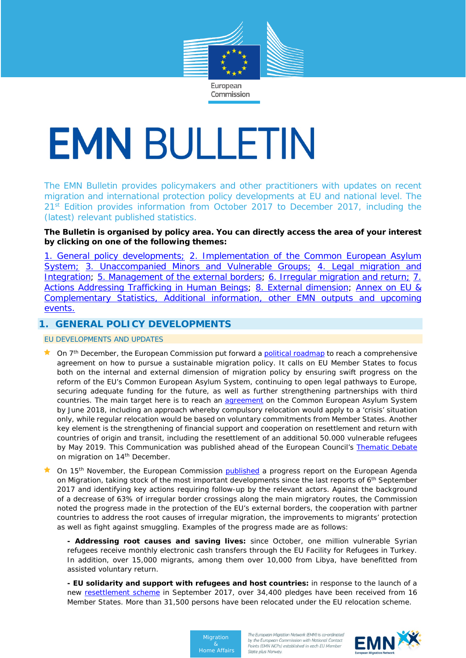

# **EMN BULLETIN**

The EMN Bulletin provides policymakers and other practitioners with updates on recent migration and international protection policy developments at EU and national level. The 21<sup>st</sup> Edition provides information from October 2017 to December 2017, including the (latest) relevant published statistics.

# **The Bulletin is organised by policy area. You can directly access the area of your interest by clicking on one of the following themes:**

[1. General policy developments;](#page-0-0) [2. Implementation of the Common European Asylum](#page-1-0)  [System;](#page-1-0) [3. Unaccompanied Minors and Vulnerable Groups;](#page-5-0) 4. Legal migration and [Integration;](#page-6-0) [5. Management of the external borders;](#page-9-0) 6. Irregular migration and return; 7. [Actions Addressing Trafficking in Human Beings;](#page-12-0) [8. External dimension;](#page-13-0) [Annex on EU &](#page-13-1)  [Complementary Statistics, Additional information, other EMN outputs and upcoming](#page-13-1)  [events.](#page-13-1)

# <span id="page-0-0"></span>**1. GENERAL POLICY DEVELOPMENTS**

EU DEVELOPMENTS AND UPDATES

- ★ On 7<sup>th</sup> December, the European Commission put forward a **political roadmap** to reach a comprehensive agreement on how to pursue a sustainable migration policy. It calls on EU Member States to focus both on the internal and external dimension of migration policy by ensuring swift progress on the reform of the EU's Common European Asylum System, continuing to open legal pathways to Europe, securing adequate funding for the future, as well as further strengthening partnerships with third countries. The main target here is to reach an **agreement** on the Common European Asylum System by June 2018, including an approach whereby compulsory relocation would apply to a 'crisis' situation only, while regular relocation would be based on voluntary commitments from Member States. Another key element is the strengthening of financial support and cooperation on resettlement and return with countries of origin and transit, including the resettlement of an additional 50.000 vulnerable refugees by May 2019. This Communication was published ahead of the European Council's [Thematic Debate](http://www.consilium.europa.eu/media/32083/en_leaders-agenda-note-on-migration_.pdf) on migration on 14<sup>th</sup> December.
- On 15<sup>th</sup> November, the European Commission [published](https://ec.europa.eu/home-affairs/sites/homeaffairs/files/what-we-do/policies/european-agenda-migration/20171114_progress_report_on_the_european_agenda_on_migration_en.pdf) a progress report on the European Agenda on Migration, taking stock of the most important developments since the last reports of 6<sup>th</sup> September 2017 and identifying key actions requiring follow-up by the relevant actors. Against the background of a decrease of 63% of irregular border crossings along the main migratory routes, the Commission noted the progress made in the protection of the EU's external borders, the cooperation with partner countries to address the root causes of irregular migration, the improvements to migrants' protection as well as fight against smuggling. Examples of the progress made are as follows:
	- **- Addressing root causes and saving lives:** since October, one million vulnerable Syrian refugees receive monthly electronic cash transfers through the EU Facility for Refugees in Turkey. In addition, over 15,000 migrants, among them over 10,000 from Libya, have benefitted from assisted voluntary return.
	- **- EU solidarity and support with refugees and host countries:** in response to the launch of a new [resettlement scheme](https://ec.europa.eu/home-affairs/sites/homeaffairs/files/what-we-do/policies/european-agenda-migration/20170927_recommendation_on_enhancing_legal_pathways_for_persons_in_need_of_international_protection_en.pdf) in September 2017, over 34,400 pledges have been received from 16 Member States. More than 31,500 persons have been relocated under the EU relocation scheme.



The European Migration Network (EMN) is co-ordinated by the European Commission with National Contact Points (EMN NCPs) established in each EU Member State plus Norway.

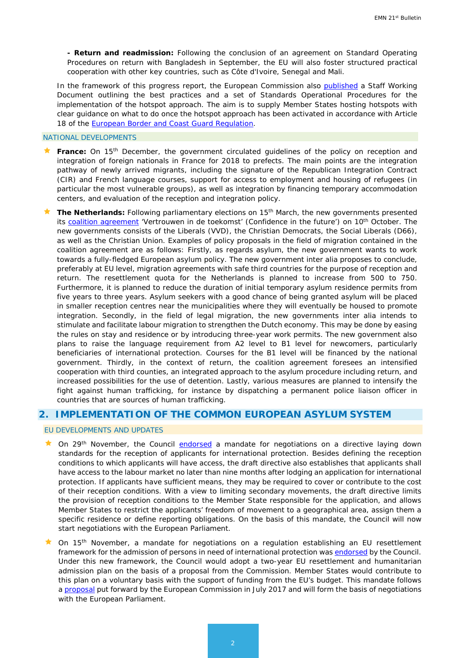**- Return and readmission:** Following the conclusion of an agreement on Standard Operating Procedures on return with Bangladesh in September, the EU will also foster structured practical cooperation with other key countries, such as Côte d'Ivoire, Senegal and Mali.

In the framework of this progress report, the European Commission also [published](https://ec.europa.eu/home-affairs/sites/homeaffairs/files/what-we-do/policies/european-agenda-migration/20171114_commission_staff_working_document_en.pdf) a Staff Working Document outlining the best practices and a set of Standards Operational Procedures for the implementation of the hotspot approach. The aim is to supply Member States hosting hotspots with clear guidance on what to do once the hotspot approach has been activated in accordance with Article 18 of the **European Border and Coast Guard Regulation**.

#### NATIONAL DEVELOPMENTS

- **France:** On 15<sup>th</sup> December, the government circulated guidelines of the policy on reception and integration of foreign nationals in France for 2018 to prefects. The main points are the integration pathway of newly arrived migrants, including the signature of the Republican Integration Contract (CIR) and French language courses, support for access to employment and housing of refugees (in particular the most vulnerable groups), as well as integration by financing temporary accommodation centers, and evaluation of the reception and integration policy.
- **The Netherlands:** Following parliamentary elections on 15<sup>th</sup> March, the new governments presented its [coalition agreement](https://www.government.nl/documents/publications/2017/10/10/coalition-agreement-confidence-in-the-future) 'Vertrouwen in de toekomst' (Confidence in the future') on 10<sup>th</sup> October. The new governments consists of the Liberals (VVD), the Christian Democrats, the Social Liberals (D66), as well as the Christian Union. Examples of policy proposals in the field of migration contained in the coalition agreement are as follows: Firstly, as regards asylum, the new government wants to work towards a fully-fledged European asylum policy. The new government inter alia proposes to conclude, preferably at EU level, migration agreements with safe third countries for the purpose of reception and return. The resettlement quota for the Netherlands is planned to increase from 500 to 750. Furthermore, it is planned to reduce the duration of initial temporary asylum residence permits from five years to three years. Asylum seekers with a good chance of being granted asylum will be placed in smaller reception centres near the municipalities where they will eventually be housed to promote integration. Secondly, in the field of legal migration, the new governments inter alia intends to stimulate and facilitate labour migration to strengthen the Dutch economy. This may be done by easing the rules on stay and residence or by introducing three-year work permits. The new government also plans to raise the language requirement from A2 level to B1 level for newcomers, particularly beneficiaries of international protection. Courses for the B1 level will be financed by the national government. Thirdly, in the context of return, the coalition agreement foresees an intensified cooperation with third counties, an integrated approach to the asylum procedure including return, and increased possibilities for the use of detention. Lastly, various measures are planned to intensify the fight against human trafficking, for instance by dispatching a permanent police liaison officer in countries that are sources of human trafficking.

# <span id="page-1-0"></span>**2. IMPLEMENTATION OF THE COMMON EUROPEAN ASYLUM SYSTEM**

#### EU DEVELOPMENTS AND UPDATES

- **Common 29th November, the Council [endorsed](http://www.consilium.europa.eu/en/press/press-releases/2017/11/29/reception-conditions-for-asylum-applicants-council-agrees-mandate-for-negotiations/?utm_source=ECRE+Newsletters&utm_campaign=c65aaf9070-EMAIL_CAMPAIGN_2017_12_01&utm_medium=email&utm_term=0_3ec9497afd-c65aaf9070-422304153) a mandate for negotiations on a directive laying down** standards for the reception of applicants for international protection. Besides defining the reception conditions to which applicants will have access, the draft directive also establishes that applicants shall have access to the labour market no later than nine months after lodging an application for international protection. If applicants have sufficient means, they may be required to cover or contribute to the cost of their reception conditions. With a view to limiting secondary movements, the draft directive limits the provision of reception conditions to the Member State responsible for the application, and allows Member States to restrict the applicants' freedom of movement to a geographical area, assign them a specific residence or define reporting obligations. On the basis of this mandate, the Council will now start negotiations with the European Parliament.
- On 15<sup>th</sup> November, a mandate for negotiations on a regulation establishing an EU resettlement framework for the admission of persons in need of international protection was [endorsed](http://www.consilium.europa.eu/en/press/press-releases/2017/11/15/eu-resettlement-framework-council-ready-to-start-negotiations/) by the Council. Under this new framework, the Council would adopt a two-year EU resettlement and humanitarian admission plan on the basis of a proposal from the Commission. Member States would contribute to this plan on a voluntary basis with the support of funding from the EU's budget. This mandate follows [a proposal](http://eur-lex.europa.eu/legal-content/EN/TXT/PDF/?uri=CELEX:52016PC0468&from=EN) put forward by the European Commission in July 2017 and will form the basis of negotiations with the European Parliament.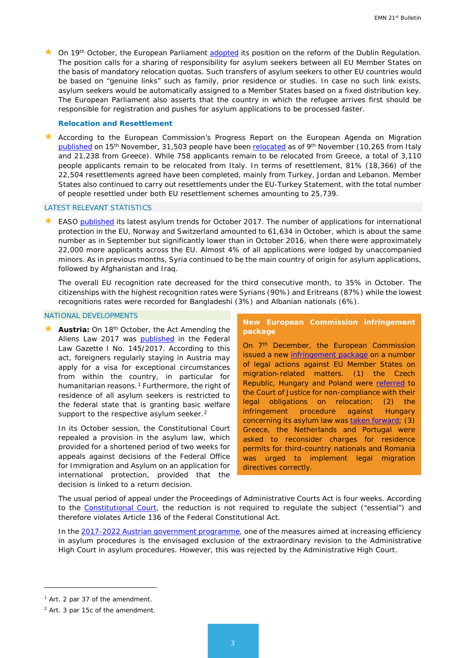★ On 19<sup>th</sup> October, the European Parliament [adopted](http://www.europarl.europa.eu/sides/getDoc.do?type=REPORT&mode=XML&reference=A8-2017-0345&language=EN) its position on the reform of the Dublin Regulation. The position calls for a sharing of responsibility for asylum seekers between all EU Member States on the basis of mandatory relocation quotas. Such transfers of asylum seekers to other EU countries would be based on "genuine links" such as family, prior residence or studies. In case no such link exists, asylum seekers would be automatically assigned to a Member States based on a fixed distribution key. The European Parliament also asserts that the country in which the refugee arrives first should be responsible for registration and pushes for asylum applications to be processed faster.

#### *Relocation and Resettlement*

 According to the European Commission's Progress Report on the European Agenda on Migration [published](https://ec.europa.eu/home-affairs/sites/homeaffairs/files/what-we-do/policies/european-agenda-migration/20171114_progress_report_on_the_european_agenda_on_migration_en.pdf) on 15th November, 31,503 people have been [relocated](https://ec.europa.eu/home-affairs/sites/homeaffairs/files/what-we-do/policies/european-agenda-migration/20171114_annex_6_relocation_en.pdf) as of 9th November (10,265 from Italy and 21,238 from Greece). While 758 applicants remain to be relocated from Greece, a total of 3,110 people applicants remain to be relocated from Italy. In terms of resettlement, 81% (18,366) of the 22,504 resettlements agreed have been completed, mainly from Turkey, Jordan and Lebanon. Member States also continued to carry out resettlements under the EU-Turkey Statement, with the total number of people resettled under both EU resettlement schemes amounting to 25,739.

#### LATEST RELEVANT STATISTICS

★ EASO [published](https://www.easo.europa.eu/sites/default/files/Latest-Asylum-Trends-October-2017.pdf) its latest asylum trends for October 2017. The number of applications for international protection in the EU, Norway and Switzerland amounted to 61,634 in October, which is about the same number as in September but significantly lower than in October 2016, when there were approximately 22,000 more applicants across the EU. Almost 4% of all applications were lodged by unaccompanied minors. As in previous months, Syria continued to be the main country of origin for asylum applications, followed by Afghanistan and Iraq.

The overall EU recognition rate decreased for the third consecutive month, to 35% in October. The citizenships with the highest recognition rates were Syrians (90%) and Eritreans (87%) while the lowest recognitions rates were recorded for Bangladeshi (3%) and Albanian nationals (6%).

#### NATIONAL DEVELOPMENTS

**Austria:** On 18<sup>th</sup> October, the Act Amending the Aliens Law 2017 was **published** in the Federal Law Gazette I No. 145/2017. According to this act, foreigners regularly staying in Austria may apply for a visa for exceptional circumstances from within the country, in particular for humanitarian reasons.<sup>[1](#page-2-0)</sup> Furthermore, the right of residence of all asylum seekers is restricted to the federal state that is granting basic welfare support to the respective asylum seeker.<sup>[2](#page-2-1)</sup>

In its October session, the Constitutional Court repealed a provision in the asylum law, which provided for a shortened period of two weeks for appeals against decisions of the Federal Office for Immigration and Asylum on an application for international protection, provided that the decision is linked to a return decision.

#### **New European Commission infringement package**

On 7<sup>th</sup> December, the European Commission issued a new [infringement package](http://europa.eu/rapid/press-release_MEMO-17-4767_en.htm?utm_source=ECRE+Newsletters&utm_campaign=2da1923fcd-EMAIL_CAMPAIGN_2017_12_08&utm_medium=email&utm_term=0_3ec9497afd-2da1923fcd-422304153) on a number of legal actions against EU Member States on migration-related matters. (1) the Czech Republic, Hungary and Poland were [referred](http://europa.eu/rapid/press-release_IP-17-5002_en.htm?utm_source=ECRE+Newsletters&utm_campaign=2da1923fcd-EMAIL_CAMPAIGN_2017_12_08&utm_medium=email&utm_term=0_3ec9497afd-2da1923fcd-422304153) to the Court of Justice for non-compliance with their legal obligations on relocation; (2) the infringement procedure against Hungary concerning its asylum law was [taken forward;](http://europa.eu/rapid/press-release_IP-17-5023_en.htm?utm_source=ECRE+Newsletters&utm_campaign=2da1923fcd-EMAIL_CAMPAIGN_2017_12_08&utm_medium=email&utm_term=0_3ec9497afd-2da1923fcd-422304153) (3) Greece, the Netherlands and Portugal were asked to reconsider charges for residence permits for third-country nationals and Romania was urged to implement legal migration directives correctly.

The usual period of appeal under the Proceedings of Administrative Courts Act is four weeks. According to the [Constitutional Court,](https://www.vfgh.gv.at/medien/VfGH_hebt_verkuerzte_Beschwerdefrist_in_Asylverfahren.de.php) the reduction is not required to regulate the subject ("essential") and therefore violates Article 136 of the Federal Constitutional Act.

In the [2017-2022 Austrian government programme,](https://www.vwgh.gv.at/medien/mitteilungen/regierungsprogramm_2017_2022.html) one of the measures aimed at increasing efficiency in asylum procedures is the envisaged exclusion of the extraordinary revision to the Administrative High Court in asylum procedures. However, this was rejected by the Administrative High Court.

<u>.</u>

<span id="page-2-0"></span><sup>1</sup> Art. 2 par 37 of the amendment.

<span id="page-2-1"></span><sup>2</sup> Art. 3 par 15c of the amendment.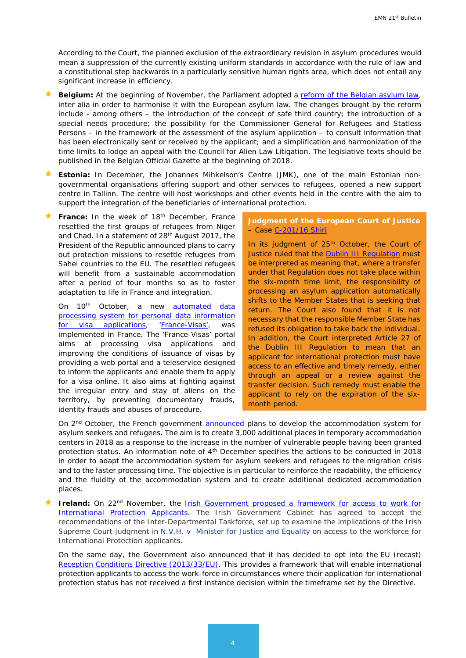According to the Court, the planned exclusion of the extraordinary revision in asylum procedures would mean a suppression of the currently existing uniform standards in accordance with the rule of law and a constitutional step backwards in a particularly sensitive human rights area, which does not entail any significant increase in efficiency.

- **Belgium:** At the beginning of November, the Parliament adopted a [reform of the Belgian asylum law,](https://emnbelgium.be/news/reform-belgian-asylums-right) inter alia in order to harmonise it with the European asylum law. The changes brought by the reform include - among others – the introduction of the concept of safe third country; the introduction of a special needs procedure; the possibility for the Commissioner General for Refugees and Statless Persons – in the framework of the assessment of the asylum application – to consult information that has been electronically sent or received by the applicant; and a simplification and harmonization of the time limits to lodge an appeal with the Council for Alien Law Litigation. The legislative texts should be published in the Belgian Official Gazette at the beginning of 2018.
- **Estonia:** In December, the Johannes Mihkelson's Centre (JMK), one of the main Estonian nongovernmental organisations offering support and other services to refugees, opened a new support centre in Tallinn. The centre will host workshops and other events held in the centre with the aim to support the integration of the beneficiaries of international protection.
- France: In the week of 18<sup>th</sup> December, France resettled the first groups of refugees from Niger and Chad. In a statement of 28th August 2017, the President of the Republic announced plans to carry out protection missions to resettle refugees from Sahel countries to the EU. The resettled refugees will benefit from a sustainable accommodation after a period of four months so as to foster adaptation to life in France and integration.

On 10<sup>th</sup> October, a new **automated data** [processing system for personal data information](https://www.legifrance.gouv.fr/eli/arrete/2017/9/26/INTV1718106A/jo/texte)  [for visa applications,](https://www.legifrance.gouv.fr/eli/arrete/2017/9/26/INTV1718106A/jo/texte) ['France-Visas',](https://www.legifrance.gouv.fr/eli/arrete/2017/9/26/INTV1718106A/jo/texte) was implemented in France. The 'France-Visas' portal aims at processing visa applications and improving the conditions of issuance of visas by providing a web portal and a teleservice designed to inform the applicants and enable them to apply for a visa online. It also aims at fighting against the irregular entry and stay of aliens on the territory, by preventing documentary frauds, identity frauds and abuses of procedure.

#### **Judgment of the European Court of Justice**  – Case [C-201/16 Shiri](http://curia.europa.eu/juris/document/document.jsf;jsessionid=9ea7d0f130d5aa9fd8c7cbb44c6488cdb505f4eab17c.e34KaxiLc3eQc40LaxqMbN4PaNaTe0?text=&docid=195947&pageIndex=0&doclang=en&mode=lst&dir=&occ=first&part=1&cid=1189796)

In its judgment of 25<sup>th</sup> October, the Court of Justice ruled that the [Dublin III Regulation](http://eur-lex.europa.eu/legal-content/en/ALL/?uri=celex%3A32013R0604) must be interpreted as meaning that, where a transfer under that Regulation does not take place within the six-month time limit, the responsibility of processing an asylum application automatically shifts to the Member States that is seeking that return. The Court also found that it is not necessary that the responsible Member State has refused its obligation to take back the individual. In addition, the Court interpreted Article 27 of the Dublin III Regulation to mean that an applicant for international protection must have access to an effective and timely remedy, either through an appeal or a review against the transfer decision. Such remedy must enable the applicant to rely on the expiration of the sixmonth period.

On 2<sup>nd</sup> October, the French government [announced](http://circulaire.legifrance.gouv.fr/pdf/2017/10/cir_42627.pdf) plans to develop the accommodation system for asylum seekers and refugees. The aim is to create 3,000 additional places in temporary accommodation centers in 2018 as a response to the increase in the number of vulnerable people having been granted protection status. An information note of 4<sup>th</sup> December specifies the actions to be conducted in 2018 in order to adapt the accommodation system for asylum seekers and refugees to the migration crisis and to the faster processing time. The objective is in particular to reinforce the readability, the efficiency and the fluidity of the accommodation system and to create additional dedicated accommodation places.

**Ireland:** On 22<sup>nd</sup> November, the **Irish Government proposed a framework for access to work for** [International Protection Applicants.](http://www.inis.gov.ie/en/INIS/Pages/access-to-work-for-international-protection-applicants-221117) The Irish Government Cabinet has agreed to accept the recommendations of the Inter-Departmental Taskforce, set up to examine the implications of the Irish Supreme Court judgment in N.V.H. v Minister for Justice and [Equality](http://emn.ie/cat_search_detail.jsp?clog=6&itemID=3044&item_name=NVH%20v%20Minister%20for%20Justice%20and%20Equality%20and%20the%20Attorney%20General%20and%20the%20Irish%20Human%20Rights%20and%20Equality%20Commission%20(notice%20parties)) on access to the workforce for International Protection applicants.

On the same day, the Government also announced that it has decided to opt into the EU (recast) Reception Conditions [Directive \(2013/33/EU\).](http://eur-lex.europa.eu/legal-content/EN/TXT/?uri=celex%3A32013L0033) This provides a framework that will enable international protection applicants to access the work-force in circumstances where their application for international protection status has not received a first instance decision within the timeframe set by the Directive.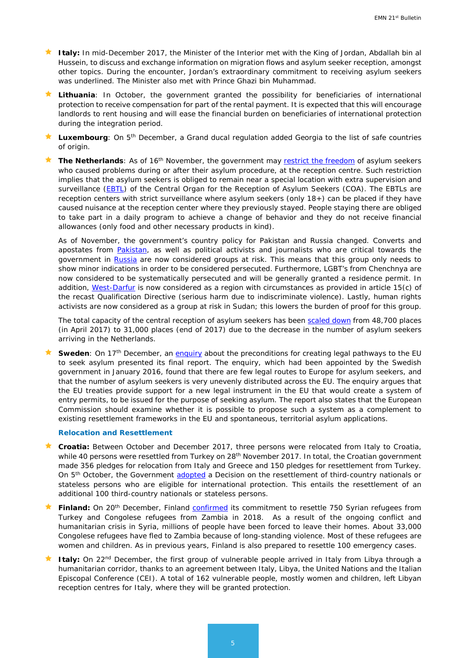- **★ Italy:** In mid-December 2017, the Minister of the Interior met with the King of Jordan, Abdallah bin al Hussein, to discuss and exchange information on migration flows and asylum seeker reception, amongst other topics. During the encounter, Jordan's extraordinary commitment to receiving asylum seekers was underlined. The Minister also met with Prince Ghazi bin Muhammad.
- **Lithuania**: In October, the government granted the possibility for beneficiaries of international protection to receive compensation for part of the rental payment. It is expected that this will encourage landlords to rent housing and will ease the financial burden on beneficiaries of international protection during the integration period.
- **Luxembourg**: On 5th December, a Grand ducal regulation added Georgia to the list of safe countries of origin.

**★ The Netherlands**: As of 16<sup>th</sup> November, the government may [restrict the freedom](https://zoek.officielebekendmakingen.nl/stcrt-2017-65549.html) of asylum seekers who caused problems during or after their asylum procedure, at the reception centre. Such restriction implies that the asylum seekers is obliged to remain near a special location with extra supervision and surveillance [\(EBTL\)](https://zoek.officielebekendmakingen.nl/kst-19637-2336.html) of the Central Organ for the Reception of Asylum Seekers (COA). The EBTLs are reception centers with strict surveillance where asylum seekers (only 18+) can be placed if they have caused nuisance at the reception center where they previously stayed. People staying there are obliged to take part in a daily program to achieve a change of behavior and they do not receive financial allowances (only food and other necessary products in kind).

As of November, the government's country policy for Pakistan and Russia changed. Converts and apostates from **Pakistan**, as well as political activists and journalists who are critical towards the government in [Russia](https://zoek.officielebekendmakingen.nl/stcrt-2017-62364.html) are now considered groups at risk. This means that this group only needs to show minor indications in order to be considered persecuted. Furthermore, LGBT's from Chenchnya are now considered to be systematically persecuted and will be generally granted a residence permit. In addition, [West-Darfur](https://zoek.officielebekendmakingen.nl/kst-19637-2352.html) is now considered as a region with circumstances as provided in article 15(c) of the recast Qualification Directive (serious harm due to indiscriminate violence). Lastly, human rights activists are now considered as a group at risk in Sudan; this lowers the burden of proof for this group.

The total capacity of the central reception of asylum seekers has been [scaled down](https://www.coa.nl/nl/actueel/nieuws/opvangcapaciteit-coa-voor-eind-2017-naar-31000-plaatsen) from 48,700 places (in April 2017) to 31,000 places (end of 2017) due to the decrease in the number of asylum seekers arriving in the Netherlands.

**Sweden**: On 17<sup>th</sup> December, an *enquiry* about the preconditions for creating legal pathways to the EU to seek asylum presented its final report. The enquiry, which had been appointed by the Swedish government in January 2016, found that there are few legal routes to Europe for asylum seekers, and that the number of asylum seekers is very unevenly distributed across the EU. The enquiry argues that the EU treaties provide support for a new legal instrument in the EU that would create a system of entry permits, to be issued for the purpose of seeking asylum. The report also states that the European Commission should examine whether it is possible to propose such a system as a complement to existing resettlement frameworks in the EU and spontaneous, territorial asylum applications.

#### *Relocation and Resettlement*

- **Croatia:** Between October and December 2017, three persons were relocated from Italy to Croatia, while 40 persons were resettled from Turkey on 28<sup>th</sup> November 2017. In total, the Croatian government made 356 pledges for relocation from Italy and Greece and 150 pledges for resettlement from Turkey. On 5<sup>th</sup> October, the Government [adopted](https://www.total-croatia-news.com/politics/22565-croatia-to-accept-hundreds-of-syrian-refugees-from-turkey) a Decision on the resettlement of third-country nationals or stateless persons who are eligible for international protection. This entails the resettlement of an additional 100 third-country nationals or stateless persons.
- Finland: On 20<sup>th</sup> December, Finland [confirmed](http://intermin.fi/en/article/-/asset_publisher/suomi-vastaanottaa-syyrialaisia-ja-kongolaisia-pakolaisia-ensi-vuoden-pakolaiskiintiossa) its commitment to resettle 750 Syrian refugees from Turkey and Congolese refugees from Zambia in 2018. As a result of the ongoing conflict and humanitarian crisis in Syria, millions of people have been forced to leave their homes. About 33,000 Congolese refugees have fled to Zambia because of long-standing violence. Most of these refugees are women and children. As in previous years, Finland is also prepared to resettle 100 emergency cases.
- **★ Italy:** On 22<sup>nd</sup> December, the first group of vulnerable people arrived in Italy from Libya through a humanitarian corridor, thanks to an agreement between Italy, Libya, the United Nations and the Italian Episcopal Conference (CEI). A total of 162 vulnerable people, mostly women and children, left Libyan reception centres for Italy, where they will be granted protection.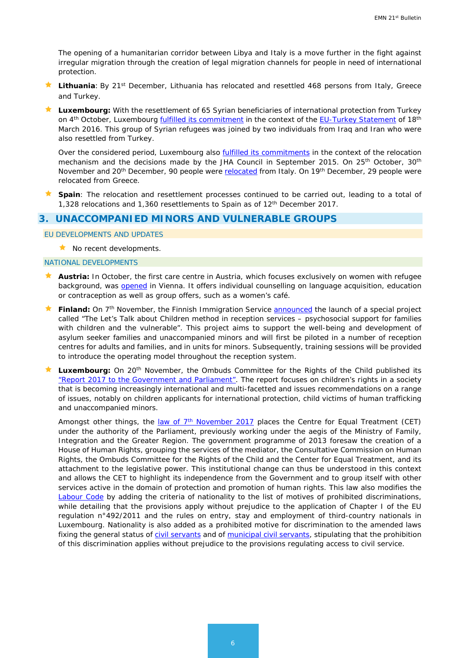The opening of a humanitarian corridor between Libya and Italy is a move further in the fight against irregular migration through the creation of legal migration channels for people in need of international protection.

- Lithuania: By 21<sup>st</sup> December, Lithuania has relocated and resettled 468 persons from Italy, Greece and Turkey.
- **Luxembourg:** With the resettlement of 65 Syrian beneficiaries of international protection from Turkey on 4<sup>th</sup> October, Luxembourg *fulfilled its commitment* in the context of the [EU-Turkey Statement](http://www.consilium.europa.eu/en/press/press-releases/2016/03/18/eu-turkey-statement/) of 18<sup>th</sup> March 2016. This group of Syrian refugees was joined by two individuals from Iraq and Iran who were also resettled from Turkey.

Over the considered period, Luxembourg also **fulfilled its commitments** in the context of the relocation mechanism and the decisions made by the JHA Council in September 2015. On 25<sup>th</sup> October, 30<sup>th</sup> November and 20<sup>th</sup> December, 90 people were [relocated](http://www.gouvernement.lu/7494949/25-arrivee-demandeurs?context=519177) from Italy. On 19<sup>th</sup> December, 29 people were relocated from Greece.

 **Spain**: The relocation and resettlement processes continued to be carried out, leading to a total of 1,328 relocations and 1,360 resettlements to Spain as of 12th December 2017.

# <span id="page-5-0"></span>**3. UNACCOMPANIED MINORS AND VULNERABLE GROUPS**

EU DEVELOPMENTS AND UPDATES

 $\star$  No recent developments.

#### NATIONAL DEVELOPMENTS

- **Austria:** In October, the first care centre in Austria, which focuses exclusively on women with refugee background, was [opened](https://diakonie.at/presse-pr/pressetexte/diakonie-eroeffnet-wiens-erste-frauen-beratungsstelle-fuer-fluechtlingsfrauen) in Vienna. It offers individual counselling on language acquisition, education or contraception as well as group offers, such as a women's café.
- **Finland:** On 7<sup>th</sup> November, the Finnish Immigration Service [announced](http://www.migri.fi/for_the_media/bulletins/press_releases/press_releases/1/0/more_support_for_asylum-seeker_families_and_children_in_reception_centres_74596) the launch of a special project called "The Let's Talk about Children method in reception services – psychosocial support for families with children and the vulnerable". This project aims to support the well-being and development of asylum seeker families and unaccompanied minors and will first be piloted in a number of reception centres for adults and families, and in units for minors. Subsequently, training sessions will be provided to introduce the operating model throughout the reception system.
- Luxembourg: On 20<sup>th</sup> November, the Ombuds Committee for the Rights of the Child published its ["Report 2017 to the Government and Parliament".](http://ork.lu/files/RapportsORK_pdf/RAP2017Compil_AvecAnnexesVersionWeB.pdf) The report focuses on children's rights in a society that is becoming increasingly international and multi-facetted and issues recommendations on a range of issues, notably on children applicants for international protection, child victims of human trafficking and unaccompanied minors.

Amongst other things, the <u>law of 7<sup>th</sup> November 2017</u> places the Centre for Equal Treatment (CET) under the authority of the Parliament, previously working under the aegis of the Ministry of Family, Integration and the Greater Region. The government programme of 2013 foresaw the creation of a House of Human Rights, grouping the services of the mediator, the Consultative Commission on Human Rights, the Ombuds Committee for the Rights of the Child and the Center for Equal Treatment, and its attachment to the legislative power. This institutional change can thus be understood in this context and allows the CET to highlight its independence from the Government and to group itself with other services active in the domain of protection and promotion of human rights. This law also modifies the [Labour Code](http://legilux.public.lu/eli/etat/leg/loi/2006/07/31/n2/jo) by adding the criteria of nationality to the list of motives of prohibited discriminations, while detailing that the provisions apply without prejudice to the application of Chapter I of the EU regulation n°492/2011 and the rules on entry, stay and employment of third-country nationals in Luxembourg. Nationality is also added as a prohibited motive for discrimination to the amended laws fixing the general status of [civil servants](http://legilux.public.lu/eli/etat/leg/tc/2008/09/01/n1/jo) and of [municipal civil servants,](http://legilux.public.lu/eli/etat/leg/tc/1990/10/03/n1/jo) stipulating that the prohibition of this discrimination applies without prejudice to the provisions regulating access to civil service.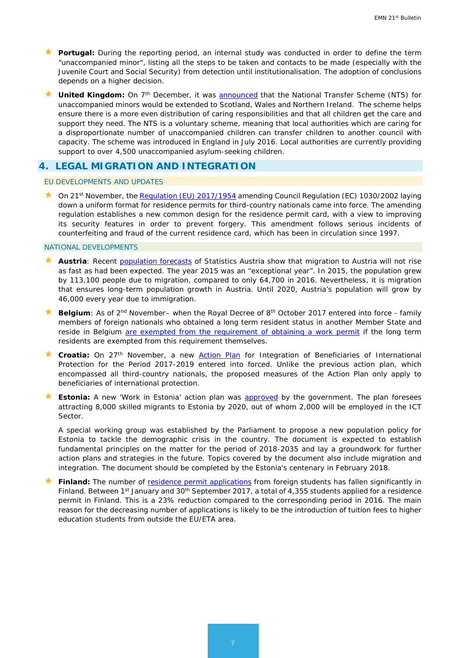- **Portugal:** During the reporting period, an internal study was conducted in order to define the term "unaccompanied minor", listing all the steps to be taken and contacts to be made (especially with the Juvenile Court and Social Security) from detection until institutionalisation. The adoption of conclusions depends on a higher decision.
- **United Kingdom:** On 7<sup>th</sup> December, it was [announced](https://www.gov.uk/government/news/scheme-for-unaccompanied-asylum-seeking-children-to-be-expanded) that the National Transfer Scheme (NTS) for unaccompanied minors would be extended to Scotland, Wales and Northern Ireland. The scheme helps ensure there is a more even distribution of caring responsibilities and that all children get the care and support they need. The NTS is a voluntary scheme, meaning that local authorities which are caring for a disproportionate number of unaccompanied children can transfer children to another council with capacity. The scheme was introduced in England in July 2016. Local authorities are currently providing support to over 4,500 unaccompanied asylum-seeking children.

# <span id="page-6-0"></span>**4. LEGAL MIGRATION AND INTEGRATION**

#### EU DEVELOPMENTS AND UPDATES

On 21<sup>st</sup> November, th[e Regulation \(EU\) 2017/1954](http://eur-lex.europa.eu/legal-content/en/ALL/?uri=CELEX:32017R1954&qid=1509855300615) amending Council Regulation (EC) 1030/2002 laying down a uniform format for residence permits for third-country nationals came into force. The amending regulation establishes a new common design for the residence permit card, with a view to improving its security features in order to prevent forgery. This amendment follows serious incidents of counterfeiting and fraud of the current residence card, which has been in circulation since 1997.

#### NATIONAL DEVELOPMENTS

- Austria: Recent [population forecasts](https://www.statistik.at/wcm/idc/idcplg?IdcService=GET_NATIVE_FILE&RevisionSelectionMethod=LatestReleased&dDocName=115701)</u> of Statistics Austria show that migration to Austria will not rise as fast as had been expected. The year 2015 was an "exceptional year". In 2015, the population grew by 113,100 people due to migration, compared to only 64,700 in 2016. Nevertheless, it is migration that ensures long-term population growth in Austria. Until 2020, Austria's population will grow by 46,000 every year due to immigration.
- **Belgium**: As of 2<sup>nd</sup> November– when the Royal Decree of 8<sup>th</sup> October 2017 entered into force family members of foreign nationals who obtained a long term resident status in another Member State and reside in Belgium [are exempted from the requirement of obtaining a work permit](https://emnbelgium.be/news/exemption-work-permit-requirement-family-members-foreign-nationals-who-obtained-long-term) if the long term residents are exempted from this requirement themselves.
- **Croatia:** On 27<sup>th</sup> November, a new Action Plan for Integration of Beneficiaries of International Protection for the Period 2017-2019 entered into forced. Unlike the previous action plan, which encompassed all third-country nationals, the proposed measures of the Action Plan only apply to beneficiaries of international protection.
- **Estonia:** A new 'Work in Estonia' action plan was **approved** by the government. The plan foresees attracting 8,000 skilled migrants to Estonia by 2020, out of whom 2,000 will be employed in the ICT Sector.

A special working group was established by the Parliament to propose a new population policy for Estonia to tackle the demographic crisis in the country. The document is expected to establish fundamental principles on the matter for the period of 2018-2035 and lay a groundwork for further action plans and strategies in the future. Topics covered by the document also include migration and integration. The document should be completed by the Estonia's centenary in February 2018.

Finland: The number of [residence permit applications](http://www.migri.fi/for_the_media/bulletins/press_releases/press_releases/1/0/number_of_residence_permit_applications_from_foreign_students_clearly_reduced_due_to_tuition_fees_74491) from foreign students has fallen significantly in Finland. Between 1<sup>st</sup> January and 30<sup>th</sup> September 2017, a total of 4,355 students applied for a residence permit in Finland. This is a 23% reduction compared to the corresponding period in 2016. The main reason for the decreasing number of applications is likely to be the introduction of tuition fees to higher education students from outside the EU/ETA area.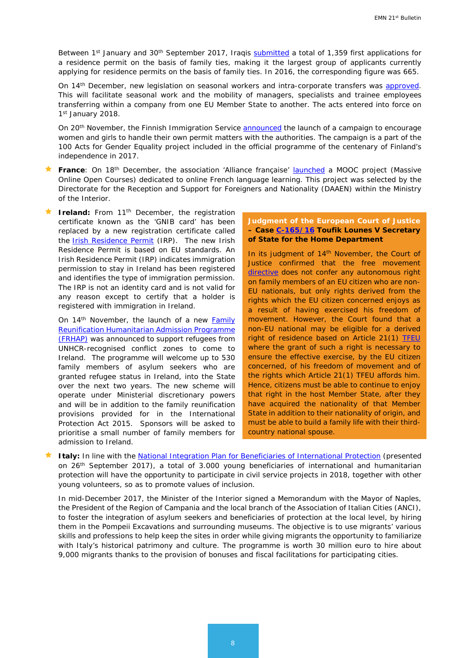Between 1st January and 30<sup>th</sup> September 2017, Iraqis [submitted](http://www.migri.fi/for_the_media/bulletins/press_releases/press_releases/1/0/iraqis_largest_group_of_family_reunification_applicants_number_more_than_doubled_from_last_year_74558) a total of 1,359 first applications for a residence permit on the basis of family ties, making it the largest group of applicants currently applying for residence permits on the basis of family ties. In 2016, the corresponding figure was 665.

On 14th December, new legislation on seasonal workers and intra-corporate transfers was [approved.](http://intermin.fi/en/article/-/asset_publisher/uusi-laki-helpottamaan-matkailulle-ja-maataloudelle-tarkeaa-kausityota) This will facilitate seasonal work and the mobility of managers, specialists and trainee employees transferring within a company from one EU Member State to another. The acts entered into force on 1st January 2018.

On 20<sup>th</sup> November, the Finnish Immigration Service **announced** the launch of a campaign to encourage women and girls to handle their own permit matters with the authorities. The campaign is a part of the 100 Acts for Gender Equality project included in the official programme of the centenary of Finland's independence in 2017.

- **France**: On 18th December, the association 'Alliance française' [launched](https://www.fun-mooc.fr/courses/course-v1:dgef-interieur+134001+session01/about) a MOOC project (Massive Online Open Courses) dedicated to online French language learning. This project was selected by the Directorate for the Reception and Support for Foreigners and Nationality (DAAEN) within the Ministry of the Interior.
- **Ireland:** From 11<sup>th</sup> December, the registration certificate known as the 'GNIB card' has been replaced by a new registration certificate called the **[Irish Residence Permit](http://www.inis.gov.ie/en/INIS/Pages/irish-residence-permit)** (IRP). The new Irish Residence Permit is based on EU standards. An Irish Residence Permit (IRP) indicates immigration permission to stay in Ireland has been registered and identifies the type of immigration permission. The IRP is not an identity card and is not valid for any reason except to certify that a holder is registered with immigration in Ireland.

On 14<sup>th</sup> November, the launch of a new Family [Reunification Humanitarian Admission Programme](http://www.justice.ie/en/JELR/Pages/PR17000383)  [\(FRHAP\)](http://www.justice.ie/en/JELR/Pages/PR17000383) was announced to support refugees from UNHCR-recognised conflict zones to come to Ireland. The programme will welcome up to 530 family members of asylum seekers who are granted refugee status in Ireland, into the State over the next two years. The new scheme will operate under Ministerial discretionary powers and will be in addition to the family reunification provisions provided for in the International Protection Act 2015. Sponsors will be asked to prioritise a small number of family members for admission to Ireland.

#### **Judgment of the European Court of Justice – Case [C-165/16](http://curia.europa.eu/juris/document/document.jsf?text=&docid=196641&pageIndex=0&doclang=EN&mode=lst&dir=&occ=first&part=1&cid=289878) Toufik Lounes V Secretary of State for the Home Department**

In its judgment of 14<sup>th</sup> November, the Court of Justice confirmed that the free movement [directive](http://eur-lex.europa.eu/LexUriServ/LexUriServ.do?uri=OJ:L:2004:158:0077:0123:en:PDF) does not confer any autonomous right on family members of an EU citizen who are non-EU nationals, but only rights derived from the rights which the EU citizen concerned enjoys as a result of having exercised his freedom of movement. However, the Court found that a non-EU national may be eligible for a derived right of residence based on Article 21(1) [TFEU](http://eur-lex.europa.eu/legal-content/EN/TXT/?uri=celex%3A12012E%2FTXT) where the grant of such a right is necessary to ensure the effective exercise, by the EU citizen concerned, of his freedom of movement and of the rights which Article 21(1) TFEU affords him. Hence, citizens must be able to continue to enjoy that right in the host Member State, after they have acquired the nationality of that Member State in addition to their nationality of origin, and must be able to build a family life with their thirdcountry national spouse.

**Italy:** In line with the [National Integration Plan for Beneficiaries of International Protection](http://www.interno.gov.it/sites/default/files/piano-nazionale-integrazione.pdf) (presented on 26<sup>th</sup> September 2017), a total of 3.000 young beneficiaries of international and humanitarian protection will have the opportunity to participate in civil service projects in 2018, together with other young volunteers, so as to promote values of inclusion.

In mid-December 2017, the Minister of the Interior signed a Memorandum with the Mayor of Naples, the President of the Region of Campania and the local branch of the Association of Italian Cities (ANCI), to foster the integration of asylum seekers and beneficiaries of protection at the local level, by hiring them in the Pompeii Excavations and surrounding museums. The objective is to use migrants' various skills and professions to help keep the sites in order while giving migrants the opportunity to familiarize with Italy's historical patrimony and culture. The programme is worth 30 million euro to hire about 9,000 migrants thanks to the provision of bonuses and fiscal facilitations for participating cities.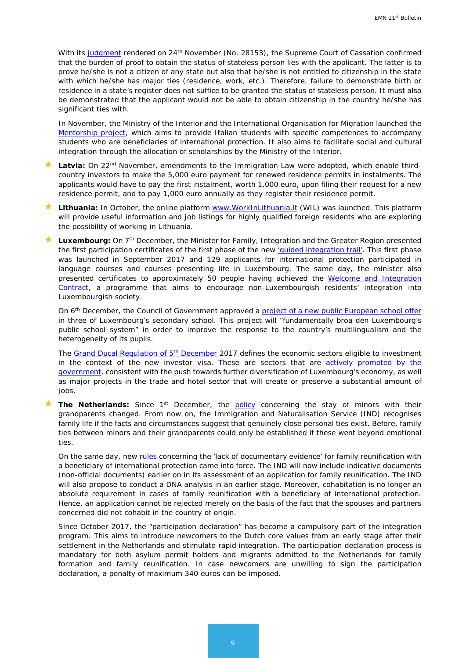With its [judgment](http://www.italgiure.giustizia.it/xway/application/nif/clean/hc.dll?verbo=attach&db=snciv&id=./20171124/snciv@s10@a2017@n28153@tS.clean.pdf) rendered on 24<sup>th</sup> November (No. 28153), the Supreme Court of Cassation confirmed that the burden of proof to obtain the status of stateless person lies with the applicant. The latter is to prove he/she is not a citizen of any state but also that he/she is not entitled to citizenship in the state with which he/she has major ties (residence, work, etc.). Therefore, failure to demonstrate birth or residence in a state's register does not suffice to be granted the status of stateless person. It must also be demonstrated that the applicant would not be able to obtain citizenship in the country he/she has significant ties with.

In November, the Ministry of the Interior and the International Organisation for Migration launched the [Mentorship project,](http://www.interno.gov.it/it/notizie/mentorship-lintegrazione-universitari-protezione-internazionale) which aims to provide Italian students with specific competences to accompany students who are beneficiaries of international protection. It also aims to facilitate social and cultural integration through the allocation of scholarships by the Ministry of the Interior.

- Latvia: On 22<sup>nd</sup> November, amendments to the Immigration Law were adopted, which enable thirdcountry investors to make the 5,000 euro payment for renewed residence permits in instalments. The applicants would have to pay the first instalment, worth 1,000 euro, upon filing their request for a new residence permit, and to pay 1,000 euro annually as they register their residence permit.
- Lithuania: In October, the online platform www.WorkInLithuania.It (WIL) was launched. This platform will provide useful information and job listings for highly qualified foreign residents who are exploring the possibility of working in Lithuania.
- Luxembourg: On 7<sup>th</sup> December, the Minister for Family, Integration and the Greater Region presented the first participation certificates of the first phase of the new 'guided integration trail'. This first phase was launched in September 2017 and 129 applicants for international protection participated in language courses and courses presenting life in Luxembourg. The same day, the minister also presented certificates to approximately 50 people having achieved the Welcome and Integration Contract, a programme that aims to encourage non-Luxembourgish residents' integration into Luxembourgish society.

On 6<sup>th</sup> December, the Council of Government approved a project of a new [public European school offer](http://www.men.public.lu/fr/actualites/articles/communiques-conference-presse/2017/12/08-section-europeenne/index.html) in three of Luxembourg's secondary school. This project will "fundamentally broa den Luxembourg's public school system" in order to improve the response to the country's multilingualism and the heterogeneity of its pupils.

The Grand Ducal Regulation of 5<sup>th</sup> December 2017 defines the economic sectors eligible to investment in the context of the new investor visa. These are sectors that are actively promoted by the [government,](http://www.gouvernement.lu/6769070/03-conseil-gouvernement?context=519177) consistent with the push towards further diversification of Luxembourg's economy, as well as major projects in the trade and hotel sector that will create or preserve a substantial amount of jobs.

**The Netherlands:** Since 1<sup>st</sup> December, the **[policy](https://zoek.officielebekendmakingen.nl/stcrt-2017-70919.html)** concerning the stay of minors with their grandparents changed. From now on, the Immigration and Naturalisation Service (IND) recognises family life if the facts and circumstances suggest that genuinely close personal ties exist. Before, family ties between minors and their grandparents could only be established if these went beyond emotional ties.

On the same day, new [rules](https://zoek.officielebekendmakingen.nl/stcrt-2017-70919.html) concerning the 'lack of documentary evidence' for family reunification with a beneficiary of international protection came into force. The IND will now include indicative documents (non-official documents) earlier on in its assessment of an application for family reunification. The IND will also propose to conduct a DNA analysis in an earlier stage. Moreover, cohabitation is no longer an absolute requirement in cases of family reunification with a beneficiary of international protection. Hence, an application cannot be rejected merely on the basis of the fact that the spouses and partners concerned did not cohabit in the country of origin.

Since October 2017, the "participation declaration" has become a compulsory part of the integration program. This aims to introduce newcomers to the Dutch core values from an early stage after their settlement in the Netherlands and stimulate rapid integration. The participation declaration process is mandatory for both asylum permit holders and migrants admitted to the Netherlands for family formation and family reunification. In case newcomers are unwilling to sign the participation declaration, a penalty of maximum 340 euros can be imposed.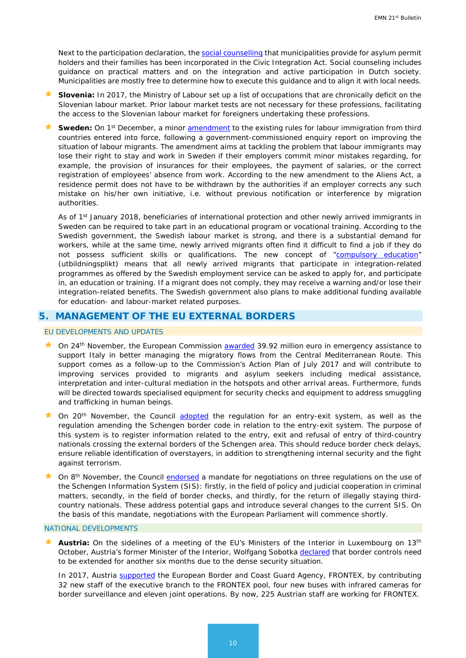Next to the participation declaration, the [social counselling](https://zoek.officielebekendmakingen.nl/kst-34584-4.pdf) that municipalities provide for asylum permit holders and their families has been incorporated in the Civic Integration Act. Social counseling includes guidance on practical matters and on the integration and active participation in Dutch society. Municipalities are mostly free to determine how to execute this guidance and to align it with local needs.

- **Slovenia:** In 2017, the Ministry of Labour set up a list of occupations that are chronically deficit on the Slovenian labour market. Prior labour market tests are not necessary for these professions, facilitating the access to the Slovenian labour market for foreigners undertaking these professions.
- **Sweden:** On 1<sup>st</sup> December, a minor **amendment** to the existing rules for labour immigration from third countries entered into force, following a government-commissioned enquiry report on improving the situation of labour migrants. The amendment aims at tackling the problem that labour immigrants may lose their right to stay and work in Sweden if their employers commit minor mistakes regarding, for example, the provision of insurances for their employees, the payment of salaries, or the correct registration of employees' absence from work. According to the new amendment to the Aliens Act, a residence permit does not have to be withdrawn by the authorities if an employer corrects any such mistake on his/her own initiative, i.e. without previous notification or interference by migration authorities.

As of 1<sup>st</sup> January 2018, beneficiaries of international protection and other newly arrived immigrants in Sweden can be required to take part in an educational program or vocational training. According to the Swedish government, the Swedish labour market is strong, and there is a substantial demand for workers, while at the same time, newly arrived migrants often find it difficult to find a job if they do not possess sufficient skills or qualifications. The new concept of ["compulsory education"](http://www.regeringen.se/pressmeddelanden/2017/12/mer-pengar-till-kommunerna-for-utbildningsplikten-for-nyanlanda/) (*utbildningsplikt*) means that all newly arrived migrants that participate in integration-related programmes as offered by the Swedish employment service can be asked to apply for, and participate in, an education or training. If a migrant does not comply, they may receive a warning and/or lose their integration-related benefits. The Swedish government also plans to make additional funding available for education- and labour-market related purposes.

# <span id="page-9-0"></span>**5. MANAGEMENT OF THE EU EXTERNAL BORDERS**

#### EU DEVELOPMENTS AND UPDATES

- ★ On 24<sup>th</sup> November, the European Commission **awarded** 39.92 million euro in emergency assistance to support Italy in better managing the migratory flows from the Central Mediterranean Route. This support comes as a follow-up to the Commission's Action Plan of July 2017 and will contribute to improving services provided to migrants and asylum seekers including medical assistance, interpretation and inter-cultural mediation in the hotspots and other arrival areas. Furthermore, funds will be directed towards specialised equipment for security checks and equipment to address smuggling and trafficking in human beings.
- $\star$  On 20<sup>th</sup> November, the Council [adopted](http://www.consilium.europa.eu/en/press/press-releases/2017/11/20/entry-exit-system-final-adoption-by-the-council/) the regulation for an entry-exit system, as well as the regulation amending the Schengen border code in relation to the entry-exit system. The purpose of this system is to register information related to the entry, exit and refusal of entry of third-country nationals crossing the external borders of the Schengen area. This should reduce border check delays, ensure reliable identification of overstayers, in addition to strengthening internal security and the fight against terrorism.
- ★ On 8<sup>th</sup> November, the Council [endorsed](http://www.consilium.europa.eu/en/press/press-releases/2017/11/08/schengen-information-system-council-agrees-negotiating-position/) a mandate for negotiations on three regulations on the use of the Schengen Information System (SIS): firstly, in the field of policy and judicial cooperation in criminal matters, secondly, in the field of border checks, and thirdly, for the return of illegally staying thirdcountry nationals. These address potential gaps and introduce several changes to the current SIS. On the basis of this mandate, negotiations with the European Parliament will commence shortly.

#### NATIONAL DEVELOPMENTS

 **Austria:** On the sidelines of a meeting of the EU's Ministers of the Interior in Luxembourg on 13th October, Austria's former Minister of the Interior, Wolfgang Sobotka [declared](http://bmi.gv.at/news.aspx?id=397277476C35555169706B3D) that border controls need to be extended for another six months due to the dense security situation.

In 2017, Austria [supported](http://bmi.gv.at/news.aspx?id=524A627058696B5A46706F3D) the European Border and Coast Guard Agency, FRONTEX, by contributing 32 new staff of the executive branch to the FRONTEX pool, four new buses with infrared cameras for border surveillance and eleven joint operations. By now, 225 Austrian staff are working for FRONTEX.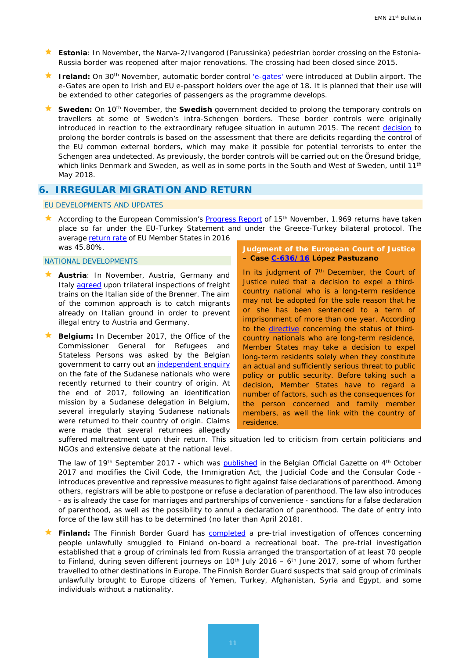- **Estonia**: In November, the Narva-2/Ivangorod (Parussinka) pedestrian border crossing on the Estonia-Russia border was reopened after major renovations. The crossing had been closed since 2015.
- **★** Ireland: On 30<sup>th</sup> November, automatic border control ['e-gates'](http://www.inis.gov.ie/en/INIS/Pages/press-release-minister-301117) were introduced at Dublin airport. The e-Gates are open to Irish and EU e-passport holders over the age of 18. It is planned that their use will be extended to other categories of passengers as the programme develops.
- **★ Sweden:** On 10<sup>th</sup> November, the **Swedish** government decided to prolong the temporary controls on travellers at some of Sweden's intra-Schengen borders. These border controls were originally introduced in reaction to the extraordinary refugee situation in autumn 2015. The recent [decision](http://www.regeringen.se/pressmeddelanden/2017/11/granskontroller-vid-inre-grans-forlangs/) to prolong the border controls is based on the assessment that there are deficits regarding the control of the EU common external borders, which may make it possible for potential terrorists to enter the Schengen area undetected. As previously, the border controls will be carried out on the Öresund bridge, which links Denmark and Sweden, as well as in some ports in the South and West of Sweden, until 11<sup>th</sup> May 2018.

# **6. IRREGULAR MIGRATION AND RETURN**

EU DEVELOPMENTS AND UPDATES

According to the European Commission's [Progress Report](https://ec.europa.eu/home-affairs/sites/homeaffairs/files/what-we-do/policies/european-agenda-migration/20171114_progress_report_on_the_european_agenda_on_migration_en.pdf) of 15<sup>th</sup> November, 1.969 returns have taken place so far under the EU-Turkey Statement and under the Greece-Turkey bilateral protocol. The average [return rate](https://ec.europa.eu/home-affairs/sites/homeaffairs/files/what-we-do/policies/european-agenda-migration/20171114_annex_5_returns_en.pdf) of EU Member States in 2016 was 45.80%.

#### NATIONAL DEVELOPMENTS

- **Austria**: In November, Austria, Germany and Italy **agreed** upon trilateral inspections of freight trains on the Italian side of the Brenner. The aim of the common approach is to catch migrants already on Italian ground in order to prevent illegal entry to Austria and Germany.
- **Belgium:** In December 2017, the Office of the Commissioner General for Refugees and Stateless Persons was asked by the Belgian government to carry out an [independent enquiry](https://emnbelgium.be/news/cgrs-carrying-out-enquiry-fate-sudanese-nationals-returned-their-country-origin) on the fate of the Sudanese nationals who were recently returned to their country of origin. At the end of 2017, following an identification mission by a Sudanese delegation in Belgium, several irregularly staying Sudanese nationals were returned to their country of origin. Claims were made that several returnees allegedly

#### **Judgment of the European Court of Justice – Case [C-636/16](http://curia.europa.eu/juris/document/document.jsf?text=&docid=197528&pageIndex=0&doclang=en&mode=lst&dir=&occ=first&part=1&cid=627380) López Pastuzano**

In its judgment of  $7<sup>th</sup>$  December, the Court of Justice ruled that a decision to expel a thirdcountry national who is a long-term residence may not be adopted for the sole reason that he or she has been sentenced to a term of imprisonment of more than one year. According to the [directive](http://eur-lex.europa.eu/legal-content/en/ALL/?uri=CELEX:32003L0109) concerning the status of thirdcountry nationals who are long-term residence, Member States may take a decision to expel long-term residents solely when they constitute an actual and sufficiently serious threat to public policy or public security. Before taking such a decision, Member States have to regard a number of factors, such as the consequences for the person concerned and family member members, as well the link with the country of residence.

suffered maltreatment upon their return. This situation led to criticism from certain politicians and NGOs and extensive debate at the national level.

The law of 19<sup>th</sup> September 2017 - which was [published](https://emnbelgium.be/news/new-law-fight-against-false-declarations-parenthood) in the Belgian Official Gazette on 4<sup>th</sup> October 2017 and modifies the Civil Code, the Immigration Act, the Judicial Code and the Consular Code introduces preventive and repressive measures to fight against false declarations of parenthood. Among others, registrars will be able to postpone or refuse a declaration of parenthood. The law also introduces - as is already the case for marriages and partnerships of convenience - sanctions for a false declaration of parenthood, as well as the possibility to annul a declaration of parenthood. The date of entry into force of the law still has to be determined (no later than April 2018).

Finland: The Finnish Border Guard has **completed** a pre-trial investigation of offences concerning people unlawfully smuggled to Finland on-board a recreational boat. The pre-trial investigation established that a group of criminals led from Russia arranged the transportation of at least 70 people to Finland, during seven different journeys on  $10<sup>th</sup>$  July 2016 – 6<sup>th</sup> June 2017, some of whom further travelled to other destinations in Europe. The Finnish Border Guard suspects that said group of criminals unlawfully brought to Europe citizens of Yemen, Turkey, Afghanistan, Syria and Egypt, and some individuals without a nationality.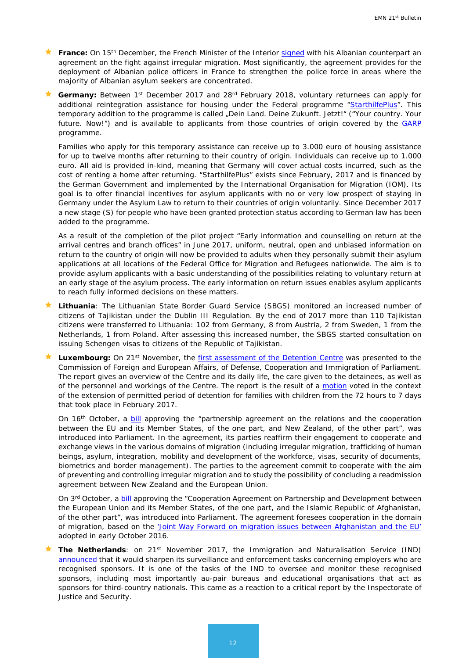- **France:** On 15<sup>th</sup> December, the French Minister of the Interior [signed](https://www.interieur.gouv.fr/Actualites/L-actu-du-Ministere/Immigration-irreguliere-Gerard-Collomb-fait-le-point-avec-les-autorites-albanaises) with his Albanian counterpart an agreement on the fight against irregular migration. Most significantly, the agreement provides for the deployment of Albanian police officers in France to strengthen the police force in areas where the majority of Albanian asylum seekers are concentrated.
- Germany: Between 1<sup>st</sup> December 2017 and 28<sup>rd</sup> February 2018, voluntary returnees can apply for additional reintegration assistance for housing under the Federal programme ["StarthilfePlus"](https://www.returningfromgermany.de/en/programmes/starthilfe-plus). This temporary addition to the programme is called "Dein Land. Deine Zukunft. Jetzt!" ("Your country. Your future. Now!") and is available to applicants from those countries of origin covered by the **[GARP](http://germany.iom.int/en/reaggarp-en)** programme.

Families who apply for this temporary assistance can receive up to 3.000 euro of housing assistance for up to twelve months after returning to their country of origin. Individuals can receive up to 1.000 euro. All aid is provided in-kind, meaning that Germany will cover actual costs incurred, such as the cost of renting a home after returning. "StarthilfePlus" exists since February, 2017 and is financed by the German Government and implemented by the International Organisation for Migration (IOM). Its goal is to offer financial incentives for asylum applicants with no or very low prospect of staying in Germany under the Asylum Law to return to their countries of origin voluntarily. Since December 2017 a new stage (S) for people who have been granted protection status according to German law has been added to the programme.

As a result of the completion of the pilot project "Early information and counselling on return at the arrival centres and branch offices" in June 2017, uniform, neutral, open and unbiased information on return to the country of origin will now be provided to adults when they personally submit their asylum applications at all locations of the Federal Office for Migration and Refugees nationwide. The aim is to provide asylum applicants with a basic understanding of the possibilities relating to voluntary return at an early stage of the asylum process. The early information on return issues enables asylum applicants to reach fully informed decisions on these matters.

- **Lithuania**: The Lithuanian State Border Guard Service (SBGS) monitored an increased number of citizens of Tajikistan under the Dublin III Regulation. By the end of 2017 more than 110 Tajikistan citizens were transferred to Lithuania: 102 from Germany, 8 from Austria, 2 from Sweden, 1 from the Netherlands, 1 from Poland. After assessing this increased number, the SBGS started consultation on issuing Schengen visas to citizens of the Republic of Tajikistan.
- **Luxembourg:** On 21st November, the [first assessment of the Detention Centre](http://www.chd.lu/wps/wcm/connect/public/7db6f793-922c-406a-a206-47147a36a6ee/RapportBilanCentreRetention.pdf?MOD=AJPERES&CVID=l.pD6nX&CVID=l.pD6nX&CVID=l.pD6nX&CVID=l.pD6nX&CVID=l.pD6nX&CVID=l.pD6nX) was presented to the Commission of Foreign and European Affairs, of Defense, Cooperation and Immigration of Parliament. The report gives an overview of the Centre and its daily life, the care given to the detainees, as well as of the personnel and workings of the Centre. The report is the result of a [motion](http://www.chd.lu/wps/PA_RoleDesAffaires/FTSByteServingServletImpl?path=/export/exped/sexpdata/Mag/0001/007/2078.pdf) voted in the context of the extension of permitted period of detention for families with children from the 72 hours to 7 days that took place in February 2017.

On 16<sup>th</sup> October, a [bill](http://chd.lu/wps/PA_RoleDesAffaires/FTSByteServingServletImpl?path=/export/exped/sexpdata/Mag/0005/135/11351.pdf) approving the "partnership agreement on the relations and the cooperation between the EU and its Member States, of the one part, and New Zealand, of the other part", was introduced into Parliament. In the agreement, its parties reaffirm their engagement to cooperate and exchange views in the various domains of migration (including irregular migration, trafficking of human beings, asylum, integration, mobility and development of the workforce, visas, security of documents, biometrics and border management). The parties to the agreement commit to cooperate with the aim of preventing and controlling irregular migration and to study the possibility of concluding a readmission agreement between New Zealand and the European Union.

On 3<sup>rd</sup> October, a **bill** approving the "Cooperation Agreement on Partnership and Development between the European Union and its Member States, of the one part, and the Islamic Republic of Afghanistan, of the other part", was introduced into Parliament. The agreement foresees cooperation in the domain of migration, based on the ['Joint Way Forward on migration issues between Afghanistan and the EU'](https://eeas.europa.eu/sites/eeas/files/eu_afghanistan_joint_way_forward_on_migration_issues.pdf)  adopted in early October 2016.

 **The Netherlands**: on 21st November 2017, the Immigration and Naturalisation Service (IND) [announced](https://www.rijksoverheid.nl/actueel/nieuws/2017/11/21/ind-scherpt-toezichts--en-handhavingstaken-verder-aan) that it would sharpen its surveillance and enforcement tasks concerning employers who are recognised sponsors. It is one of the tasks of the IND to oversee and monitor these recognised sponsors, including most importantly au-pair bureaus and educational organisations that act as sponsors for third-country nationals. This came as a reaction to a critical report by the Inspectorate of Justice and Security.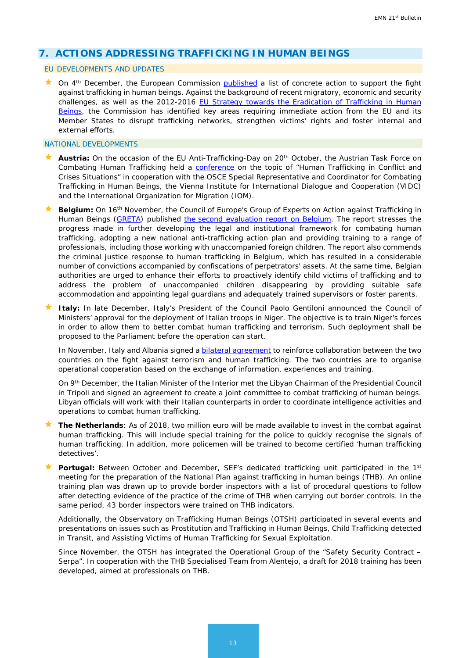# <span id="page-12-0"></span>**7. ACTIONS ADDRESSING TRAFFICKING IN HUMAN BEINGS**

#### EU DEVELOPMENTS AND UPDATES

 $\star$  On 4<sup>th</sup> December, the European Commission [published](https://ec.europa.eu/home-affairs/sites/homeaffairs/files/e-library/documents/policies/organized-crime-and-human-trafficking/trafficking-in-human-beings/docs/20171204_communication_reporting_on_follow-up_to_the_eu_strategy_towards_the_eradication_of_trafficking_in_human_beings.pdf) a list of concrete action to support the fight against trafficking in human beings. Against the background of recent migratory, economic and security challenges, as well as the 2012-2016 [EU Strategy towards the Eradication of Trafficking in Human](http://ec.europa.eu/anti-trafficking/sites/antitrafficking/files/the_eu_strategy_towards_the_eradication_of_trafficking_in_human_beings_2012-2016_1.pdf)  [Beings,](http://ec.europa.eu/anti-trafficking/sites/antitrafficking/files/the_eu_strategy_towards_the_eradication_of_trafficking_in_human_beings_2012-2016_1.pdf) the Commission has identified key areas requiring immediate action from the EU and its Member States to disrupt trafficking networks, strengthen victims' rights and foster internal and external efforts.

#### NATIONAL DEVELOPMENTS

- **Austria:** On the occasion of the EU Anti-Trafficking-Day on 20th October, the Austrian Task Force on Combating Human Trafficking held a [conference](https://www.bmeia.gv.at/en/european-foreign-policy/human-rights/priorities-of-austrian-human-rights-policy/combatting-trafficking-in-human-beings/conference-human-trafficking-in-conflict-and-crises-situations-20-october-2017/) on the topic of "Human Trafficking in Conflict and Crises Situations" in cooperation with the OSCE Special Representative and Coordinator for Combating Trafficking in Human Beings, the Vienna Institute for International Dialogue and Cooperation (VIDC) and the International Organization for Migration (IOM).
- **Belgium:** On 16th November, the Council of Europe's Group of Experts on Action against Trafficking in Human Beings [\(GRETA\)](https://www.coe.int/en/web/anti-human-trafficking/greta) published the [second evaluation report on Belgium.](https://emnbelgium.be/news/publication-gretas-second-report-belgium?q=/news/publication-gretas-second-report-belgium) The report stresses the progress made in further developing the legal and institutional framework for combating human trafficking, adopting a new national anti-trafficking action plan and providing training to a range of professionals, including those working with unaccompanied foreign children. The report also commends the criminal justice response to human trafficking in Belgium, which has resulted in a considerable number of convictions accompanied by confiscations of perpetrators' assets. At the same time, Belgian authorities are urged to enhance their efforts to proactively identify child victims of trafficking and to address the problem of unaccompanied children disappearing by providing suitable safe accommodation and appointing legal guardians and adequately trained supervisors or foster parents.
- **Italy:** In late December, Italy's President of the Council Paolo Gentiloni announced the Council of Ministers' approval for the deployment of Italian troops in Niger. The objective is to train Niger's forces in order to allow them to better combat human trafficking and terrorism. Such deployment shall be proposed to the Parliament before the operation can start.

In November, Italy and Albania signed a **bilateral agreement** to reinforce collaboration between the two countries on the fight against terrorism and human trafficking. The two countries are to organise operational cooperation based on the exchange of information, experiences and training.

On 9th December, the Italian Minister of the Interior met the Libyan Chairman of the Presidential Council in Tripoli and signed an agreement to create a joint committee to combat trafficking of human beings. Libyan officials will work with their Italian counterparts in order to coordinate intelligence activities and operations to combat human trafficking.

- **★ The Netherlands**: As of 2018, two million euro will be made available to invest in the combat against human trafficking. This will include special training for the police to quickly recognise the signals of human trafficking. In addition, more policemen will be trained to become certified 'human trafficking detectives'.
- Portugal: Between October and December, SEF's dedicated trafficking unit participated in the 1st meeting for the preparation of the National Plan against trafficking in human beings (THB). An online training plan was drawn up to provide border inspectors with a list of procedural questions to follow after detecting evidence of the practice of the crime of THB when carrying out border controls. In the same period, 43 border inspectors were trained on THB indicators.

Additionally, the Observatory on Trafficking Human Beings (OTSH) participated in several events and presentations on issues such as Prostitution and Trafficking in Human Beings, Child Trafficking detected in Transit, and Assisting Victims of Human Trafficking for Sexual Exploitation.

Since November, the OTSH has integrated the Operational Group of the "Safety Security Contract – Serpa". In cooperation with the THB Specialised Team from Alentejo, a draft for 2018 training has been developed, aimed at professionals on THB.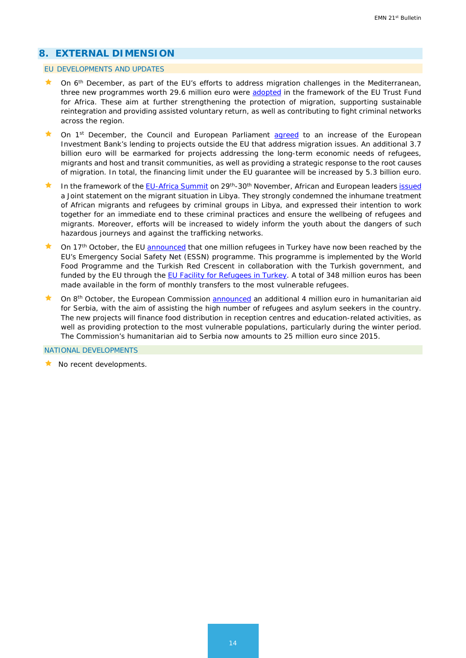# <span id="page-13-0"></span>**8. EXTERNAL DIMENSION**

#### EU DEVELOPMENTS AND UPDATES

- On 6<sup>th</sup> December, as part of the EU's efforts to address migration challenges in the Mediterranean, three new programmes worth 29.6 million euro were [adopted](http://europa.eu/rapid/press-release_IP-17-5144_en.htm) in the framework of the EU Trust Fund for Africa. These aim at further strengthening the protection of migration, supporting sustainable reintegration and providing assisted voluntary return, as well as contributing to fight criminal networks across the region.
- On 1<sup>st</sup> December, the Council and European Parliament [agreed](http://www.consilium.europa.eu/en/press/press-releases/2017/12/01/eib-agreement-on-extra-funds-to-address-migration-issues/) to an increase of the European Investment Bank's lending to projects outside the EU that address migration issues. An additional 3.7 billion euro will be earmarked for projects addressing the long-term economic needs of refugees, migrants and host and transit communities, as well as providing a strategic response to the root causes of migration. In total, the financing limit under the EU guarantee will be increased by 5.3 billion euro.
- In the framework of the [EU-Africa Summit](http://www.consilium.europa.eu/en/meetings/international-summit/2017/11/29-30/) on 29<sup>th</sup>-30<sup>th</sup> November, African and European leaders [issued](http://www.european-council.europa.eu/media/31871/33437-pr-libya20statement20283020nov2010.pdf) a Joint statement on the migrant situation in Libya. They strongly condemned the inhumane treatment of African migrants and refugees by criminal groups in Libya, and expressed their intention to work together for an immediate end to these criminal practices and ensure the wellbeing of refugees and migrants. Moreover, efforts will be increased to widely inform the youth about the dangers of such hazardous journeys and against the trafficking networks.
- $\star$  On 17<sup>th</sup> October, the EU [announced](http://europa.eu/rapid/press-release_IP-17-3902_en.htm) that one million refugees in Turkey have now been reached by the EU's Emergency Social Safety Net (ESSN) programme. This programme is implemented by the World Food Programme and the Turkish Red Crescent in collaboration with the Turkish government, and funded by the EU through the [EU Facility for Refugees in Turkey.](https://ec.europa.eu/neighbourhood-enlargement/news_corner/migration_en) A total of 348 million euros has been made available in the form of monthly transfers to the most vulnerable refugees.
- On 8<sup>th</sup> October, the European Commission [announced](http://europa.eu/rapid/press-release_IP-17-3730_en.htm) an additional 4 million euro in humanitarian aid for Serbia, with the aim of assisting the high number of refugees and asylum seekers in the country. The new projects will finance food distribution in reception centres and education-related activities, as well as providing protection to the most vulnerable populations, particularly during the winter period. The Commission's humanitarian aid to Serbia now amounts to 25 million euro since 2015.

<span id="page-13-1"></span>NATIONAL DEVELOPMENTS

 $\star$  No recent developments.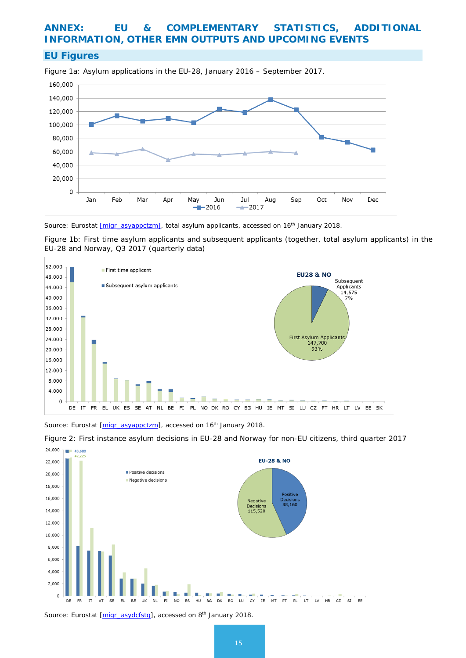# **ANNEX: EU & COMPLEMENTARY STATISTICS, ADDITIONAL INFORMATION, OTHER EMN OUTPUTS AND UPCOMING EVENTS**

### **EU Figures**



Figure 1a: Asylum applications in the EU-28, January 2016 – September 2017.

*Source: Eurostat [\[migr\\_asyappctzm\],](http://appsso.eurostat.ec.europa.eu/nui/show.do?dataset=migr_asyappctzm&lang=en) total asylum applicants, accessed on 16th January 2018.*

Figure 1b: First time asylum applicants and subsequent applicants (together, total asylum applicants) in the EU-28 and Norway, Q3 2017 (quarterly data)



*Source: Eurostat [\[migr\\_asyappctzm\]](http://appsso.eurostat.ec.europa.eu/nui/show.do?dataset=migr_asyappctzm&lang=en), accessed on 16th January 2018.*



Figure 2: First instance asylum decisions in EU-28 and Norway for non-EU citizens, third quarter 2017

*Source: Eurostat [\[migr\\_asydcfstq\]](http://appsso.eurostat.ec.europa.eu/nui/show.do?dataset=migr_asydcfstq&lang=en), accessed on 8th January 2018.*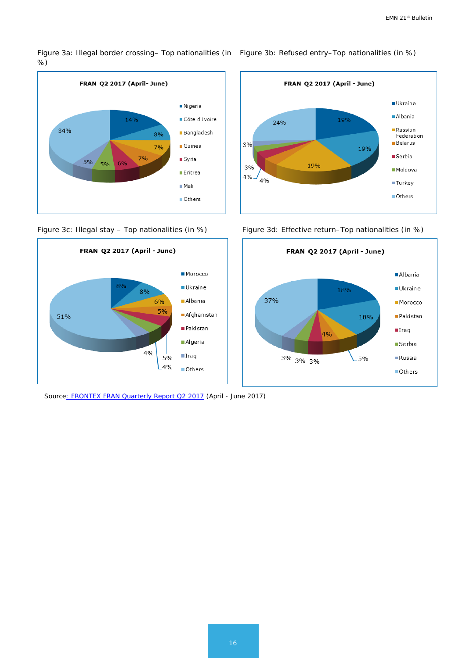Figure 3a: Illegal border crossing– Top nationalities (in ) Figure 3b: Refused entry–Top nationalities (in %) %)





*Sourc[e: FRONTEX FRAN Quarterly Report Q2 2017](http://frontex.europa.eu/assets/Publications/Risk_Analysis/FRAN_Q2_2017.pdf) (April - June 2017)*



Figure 3c: Illegal stay - Top nationalities (in %) Figure 3d: Effective return-Top nationalities (in %)

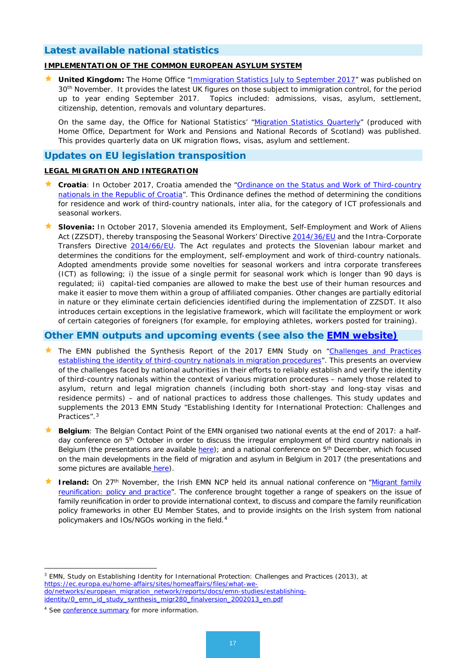# **Latest available national statistics**

#### **IMPLEMENTATION OF THE COMMON EUROPEAN ASYLUM SYSTEM**

**United Kingdom:** The Home Office ["Immigration Statistics July to September 2017"](https://www.gov.uk/government/statistics/immigration-statistics-july-to-september-2017) was published on 30<sup>th</sup> November. It provides the latest UK figures on those subject to immigration control, for the period up to year ending September 2017. Topics included: admissions, visas, asylum, settlement, citizenship, detention, removals and voluntary departures.

On the same day, the Office for National Statistics' ["Migration Statistics Quarterly"](https://www.ons.gov.uk/peoplepopulationandcommunity/populationandmigration/internationalmigration/bulletins/migrationstatisticsquarterlyreport/november2017) (produced with Home Office, Department for Work and Pensions and National Records of Scotland) was published. This provides quarterly data on UK migration flows, visas, asylum and settlement.

# **Updates on EU legislation transposition**

#### **LEGAL MIGRATION AND INTEGRATION**

- **Croatia**: In October 2017, Croatia amended the "Ordinance on the Status and Work of Third-country nationals in the Republic of Croatia". This Ordinance defines the method of determining the conditions for residence and work of third-country nationals, inter alia, for the category of ICT professionals and seasonal workers.
- **Slovenia:** In October 2017, Slovenia amended its Employment, Self-Employment and Work of Aliens Act (ZZSDT), thereby transposing the Seasonal Workers' Directive [2014/36/EU](http://eur-lex.europa.eu/legal-content/EN/TXT/?uri=celex%3A32014L0036) and the Intra-Corporate Transfers Directive [2014/66/EU.](http://eur-lex.europa.eu/legal-content/EN/ALL/?uri=celex%3A32014L0066) The Act regulates and protects the Slovenian labour market and determines the conditions for the employment, self-employment and work of third-country nationals. Adopted amendments provide some novelties for seasonal workers and intra corporate transferees (ICT) as following; i) the issue of a single permit for seasonal work which is longer than 90 days is regulated; ii) capital-tied companies are allowed to make the best use of their human resources and make it easier to move them within a group of affiliated companies. Other changes are partially editorial in nature or they eliminate certain deficiencies identified during the implementation of ZZSDT. It also introduces certain exceptions in the legislative framework, which will facilitate the employment or work of certain categories of foreigners (for example, for employing athletes, workers posted for training).

### **Other EMN outputs and upcoming events (see also the [EMN website\)](http://ec.europa.eu/dgs/home-affairs/what-we-do/networks/european_migration_network/events/index_en.htm)**

- The EMN published the Synthesis Report of the 2017 EMN Study on "Challenges and Practices [establishing the identity of third-country nationals in migration procedures"](https://ec.europa.eu/home-affairs/sites/homeaffairs/files/00_eu_synthesis_report_identity_study_final_en_1.pdf). This presents an overview of the challenges faced by national authorities in their efforts to reliably establish and verify the identity of third-country nationals within the context of various migration procedures – namely those related to asylum, return and legal migration channels (including both short-stay and long-stay visas and residence permits) – and of national practices to address those challenges. This study updates and supplements the 2013 EMN Study "Establishing Identity for International Protection: Challenges and Practices".[3](#page-16-0)
- **Belgium**: The Belgian Contact Point of the EMN organised two national events at the end of 2017: a halfday conference on 5<sup>th</sup> October in order to discuss the irregular employment of third country nationals in Belgium (the presentations are available [here\)](https://emnbelgium.be/news/belgian-experts-gather-event-irregular-employment-third-country-nationals-organized-belgian); and a national conference on  $5<sup>th</sup>$  December, which focused on the main developments in the field of migration and asylum in Belgium in 2017 (the presentations and some pictures are available [here\)](https://emnbelgium.be/news/belgian-stakeholders-gather-migration-and-asylum-policy-event-belgian-contact-point-emn).
- **Ireland:** On 27<sup>th</sup> November, the Irish EMN NCP held its annual national conference on "Migrant family [reunification: policy and practice"](http://emn.ie/emn/nationalnetwork). The conference brought together a range of speakers on the issue of family reunification in order to provide international context, to discuss and compare the family reunification policy frameworks in other EU Member States, and to provide insights on the Irish system from national policymakers and IOs/NGOs working in the field.[4](#page-16-1)

<span id="page-16-0"></span><sup>3</sup> EMN, Study on Establishing Identity for International Protection: Challenges and Practices (2013), at [https://ec.europa.eu/home-affairs/sites/homeaffairs/files/what-we](https://ec.europa.eu/home-affairs/sites/homeaffairs/files/what-we-do/networks/european_migration_network/reports/docs/emn-studies/establishing-identity/0_emn_id_study_synthesis_migr280_finalversion_2002013_en.pdf)[do/networks/european\\_migration\\_network/reports/docs/emn-studies/establishing](https://ec.europa.eu/home-affairs/sites/homeaffairs/files/what-we-do/networks/european_migration_network/reports/docs/emn-studies/establishing-identity/0_emn_id_study_synthesis_migr280_finalversion_2002013_en.pdf)[identity/0\\_emn\\_id\\_study\\_synthesis\\_migr280\\_finalversion\\_2002013\\_en.pdf](https://ec.europa.eu/home-affairs/sites/homeaffairs/files/what-we-do/networks/european_migration_network/reports/docs/emn-studies/establishing-identity/0_emn_id_study_synthesis_migr280_finalversion_2002013_en.pdf)

<u>.</u>

<span id="page-16-1"></span><sup>4</sup> See [conference summary](http://emn.ie/media/2017MigrantFamilyReunificationconference_summary_final1.pdf) for more information.